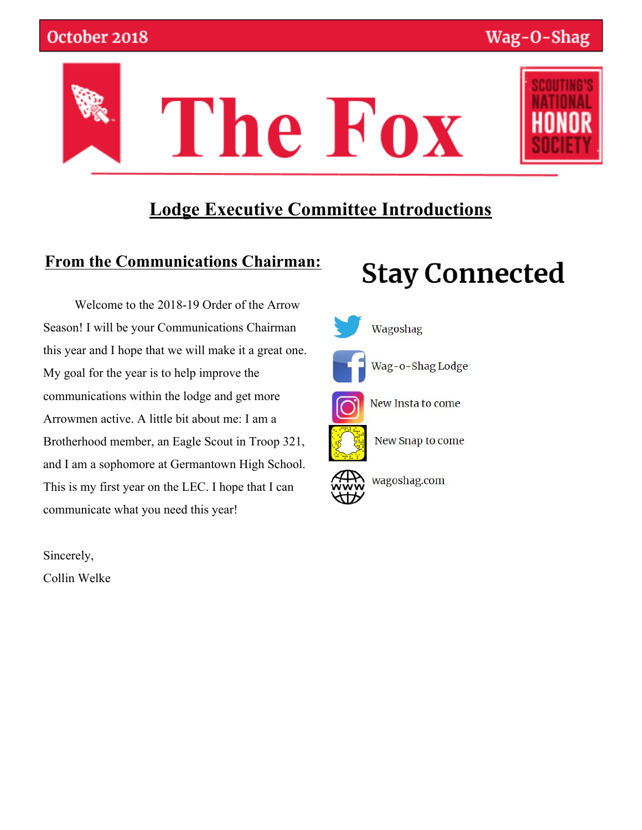

### **Lodge Executive Committee Introductions**

### **From the Communications Chairman:**

 Welcome to the 2018-19 Order of the Arrow Season! I will be your Communications Chairman this year and I hope that we will make it a great one. My goal for the year is to help improve the communications within the lodge and get more Arrowmen active. A little bit about me: I am a Brotherhood member, an Eagle Scout in Troop 321, and I am a sophomore at Germantown High School. This is my first year on the LEC. I hope that I can communicate what you need this year!

**Stay Connected** 

Wagoshag Wag-o-Shag Lodge New Insta to come New Snap to come wagoshag.com

Sincerely,

Collin Welke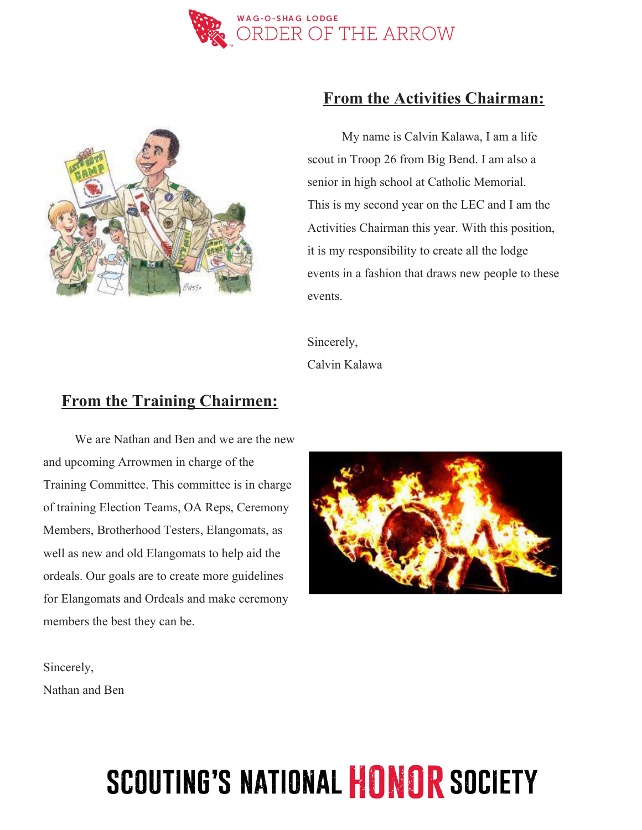



#### **From the Activities Chairman:**

 My name is Calvin Kalawa, I am a life scout in Troop 26 from Big Bend. I am also a senior in high school at Catholic Memorial. This is my second year on the LEC and I am the Activities Chairman this year. With this position, it is my responsibility to create all the lodge events in a fashion that draws new people to these events.

Sincerely, Calvin Kalawa

#### **From the Training Chairmen:**

 We are Nathan and Ben and we are the new and upcoming Arrowmen in charge of the Training Committee. This committee is in charge of training Election Teams, OA Reps, Ceremony Members, Brotherhood Testers, Elangomats, as well as new and old Elangomats to help aid the ordeals. Our goals are to create more guidelines for Elangomats and Ordeals and make ceremony members the best they can be.



Sincerely, Nathan and Ben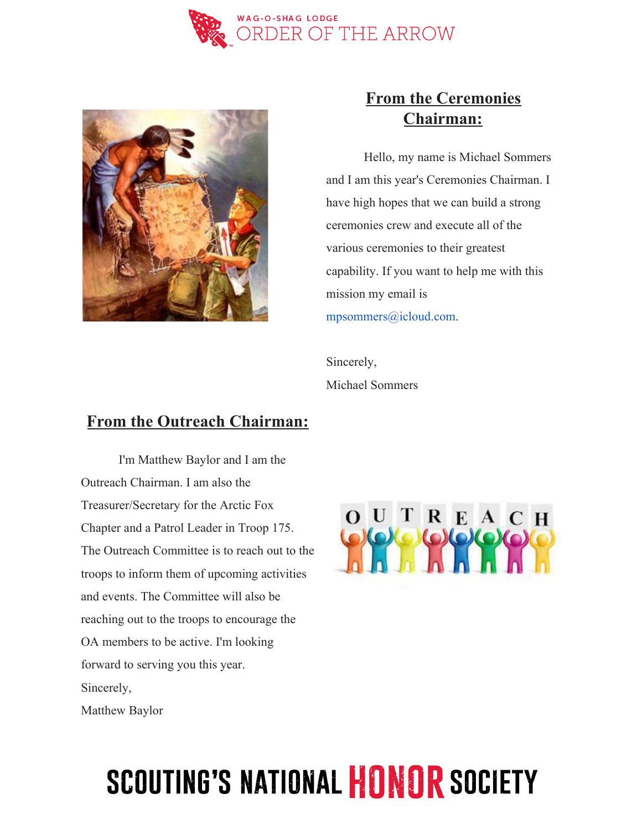



### **From the Ceremonies Chairman:**

 Hello, my name is Michael Sommers and I am this year's Ceremonies Chairman. I have high hopes that we can build a strong ceremonies crew and execute all of the various ceremonies to their greatest capability. If you want to help me with this mission my email is mpsommers@icloud.com.

Sincerely, Michael Sommers

#### **From the Outreach Chairman:**

 I'm Matthew Baylor and I am the Outreach Chairman. I am also the Treasurer/Secretary for the Arctic Fox Chapter and a Patrol Leader in Troop 175. The Outreach Committee is to reach out to the troops to inform them of upcoming activities and events. The Committee will also be reaching out to the troops to encourage the OA members to be active. I'm looking forward to serving you this year. Sincerely, Matthew Baylor

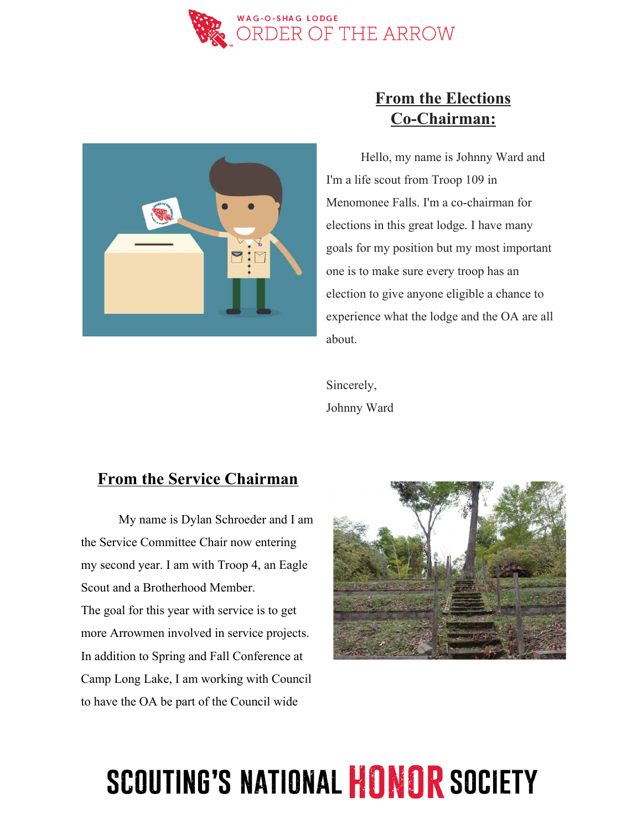



### **From the Elections Co-Chairman:**

 Hello, my name is Johnny Ward and I'm a life scout from Troop 109 in Menomonee Falls. I'm a co-chairman for elections in this great lodge. I have many goals for my position but my most important one is to make sure every troop has an election to give anyone eligible a chance to experience what the lodge and the OA are all about.

Sincerely, Johnny Ward

#### **From the Service Chairman**

 My name is Dylan Schroeder and I am the Service Committee Chair now entering my second year. I am with Troop 4, an Eagle Scout and a Brotherhood Member. The goal for this year with service is to get more Arrowmen involved in service projects. In addition to Spring and Fall Conference at Camp Long Lake, I am working with Council to have the OA be part of the Council wide

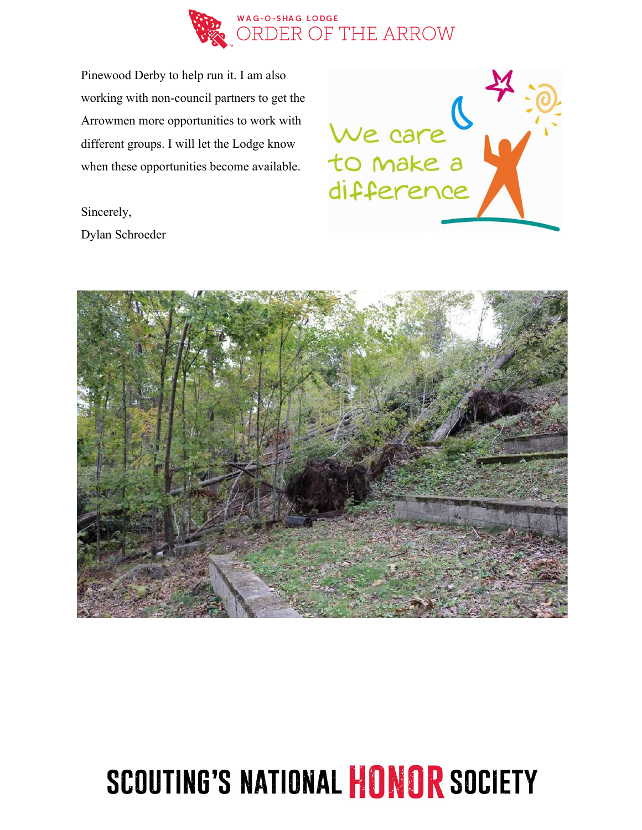

Pinewood Derby to help run it. I am also working with non-council partners to get the Arrowmen more opportunities to work with different groups. I will let the Lodge know when these opportunities become available.



Sincerely, Dylan Schroeder

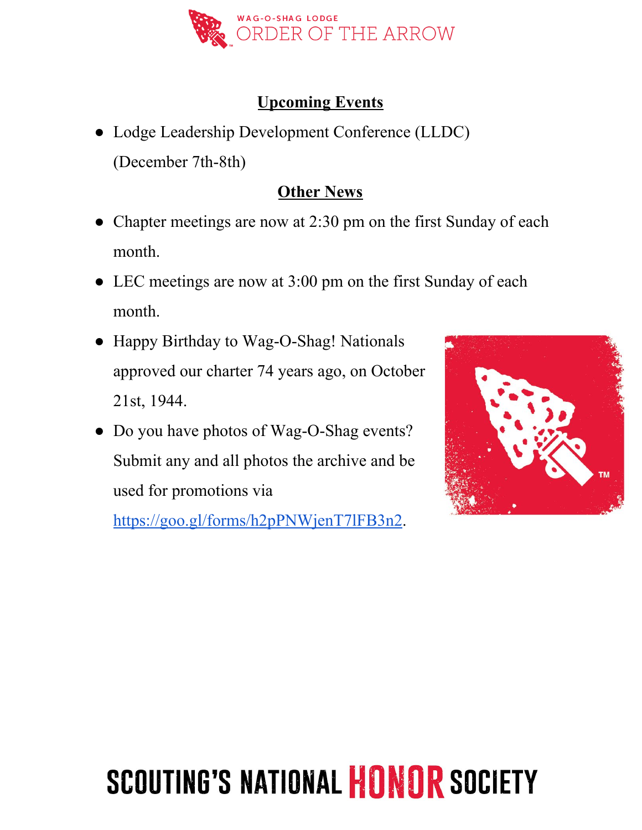

### **Upcoming Events**

● Lodge Leadership Development Conference (LLDC) (December 7th-8th)

### **Other News**

- Chapter meetings are now at 2:30 pm on the first Sunday of each month.
- LEC meetings are now at 3:00 pm on the first Sunday of each month.
- Happy Birthday to Wag-O-Shag! Nationals approved our charter 74 years ago, on October 21st, 1944.
- Do you have photos of Wag-O-Shag events? Submit any and all photos the archive and be used for promotions via

[https://goo.gl/forms/h2pPNWjenT7lFB3n2.](https://goo.gl/forms/h2pPNWjenT7lFB3n2)

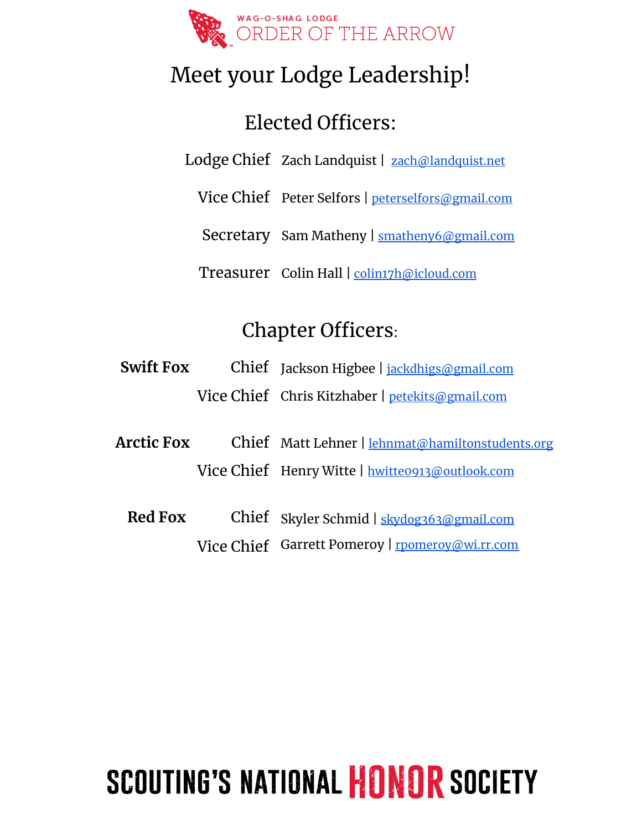

## Meet your Lodge Leadership!

## Elected Officers:

Lodge Chief Zach Landquist | [zach@landquist.net](mailto:zach@landquist.net)

Vice Chief Peter Selfors | [peterselfors@gmail.com](mailto:peterselfors@gmail.com)

Secretary Sam Matheny | [smatheny6@gmail.com](mailto:smatheny6@gmail.com)

Treasurer Colin Hall | [colin17h@icloud.com](mailto:colin17h@icloud.com)

## Chapter Officers:

- **Swift Fox** Chief Jackson Higbee | [jackdhigs@gmail.com](mailto:jackdhigs@gmail.com) Vice Chief Chris Kitzhaber | [petekits@gmail.com](mailto:petekits@gmail.com)
- **Arctic Fox** Chief Matt Lehner | [lehnmat@hamiltonstudents.org](mailto:lehnmat@hamiltonstudents.org) Vice Chief Henry Witte | [hwitte0913@outlook.com](mailto:hwitte0913@outlook.com)
	- **Red Fox** Chief Skyler Schmid | [skydog363@gmail.com](mailto:skydog363@gmail.com) Vice Chief Garrett Pomeroy | [rpomeroy@wi.rr.com](mailto:rpomeroy@wi.rr.com)